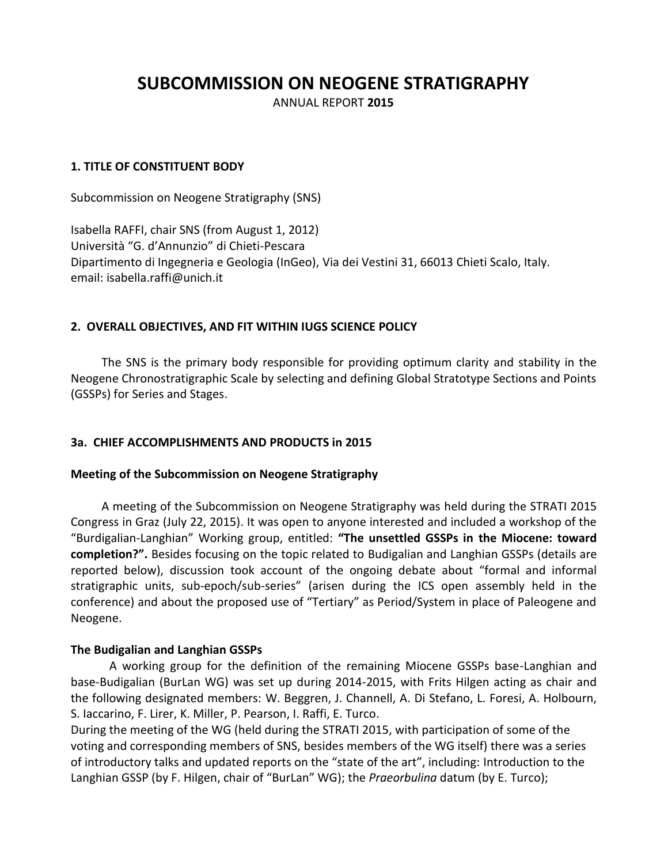# **SUBCOMMISSION ON NEOGENE STRATIGRAPHY**

ANNUAL REPORT **2015**

### **1. TITLE OF CONSTITUENT BODY**

Subcommission on Neogene Stratigraphy (SNS)

Isabella RAFFI, chair SNS (from August 1, 2012) Università "G. d'Annunzio" di Chieti-Pescara Dipartimento di Ingegneria e Geologia (InGeo), Via dei Vestini 31, 66013 Chieti Scalo, Italy. email: isabella.raffi@unich.it

#### **2. OVERALL OBJECTIVES, AND FIT WITHIN IUGS SCIENCE POLICY**

The SNS is the primary body responsible for providing optimum clarity and stability in the Neogene Chronostratigraphic Scale by selecting and defining Global Stratotype Sections and Points (GSSPs) for Series and Stages.

#### **3a. CHIEF ACCOMPLISHMENTS AND PRODUCTS in 2015**

#### **Meeting of the Subcommission on Neogene Stratigraphy**

A meeting of the Subcommission on Neogene Stratigraphy was held during the STRATI 2015 Congress in Graz (July 22, 2015). It was open to anyone interested and included a workshop of the "Burdigalian-Langhian" Working group, entitled: **"The unsettled GSSPs in the Miocene: toward completion?".** Besides focusing on the topic related to Budigalian and Langhian GSSPs (details are reported below), discussion took account of the ongoing debate about "formal and informal stratigraphic units, sub-epoch/sub-series" (arisen during the ICS open assembly held in the conference) and about the proposed use of "Tertiary" as Period/System in place of Paleogene and Neogene.

#### **The Budigalian and Langhian GSSPs**

A working group for the definition of the remaining Miocene GSSPs base-Langhian and base-Budigalian (BurLan WG) was set up during 2014-2015, with Frits Hilgen acting as chair and the following designated members: W. Beggren, J. Channell, A. Di Stefano, L. Foresi, A. Holbourn, S. Iaccarino, F. Lirer, K. Miller, P. Pearson, I. Raffi, E. Turco.

During the meeting of the WG (held during the STRATI 2015, with participation of some of the voting and corresponding members of SNS, besides members of the WG itself) there was a series of introductory talks and updated reports on the "state of the art", including: Introduction to the Langhian GSSP (by F. Hilgen, chair of "BurLan" WG); the *Praeorbulina* datum (by E. Turco);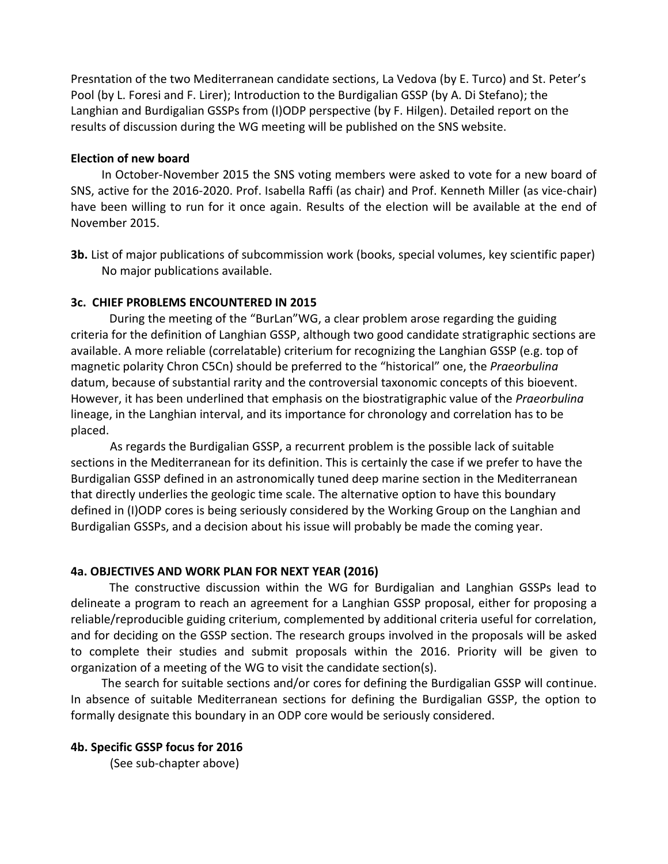Presntation of the two Mediterranean candidate sections, La Vedova (by E. Turco) and St. Peter's Pool (by L. Foresi and F. Lirer); Introduction to the Burdigalian GSSP (by A. Di Stefano); the Langhian and Burdigalian GSSPs from (I)ODP perspective (by F. Hilgen). Detailed report on the results of discussion during the WG meeting will be published on the SNS website.

## **Election of new board**

In October-November 2015 the SNS voting members were asked to vote for a new board of SNS, active for the 2016-2020. Prof. Isabella Raffi (as chair) and Prof. Kenneth Miller (as vice-chair) have been willing to run for it once again. Results of the election will be available at the end of November 2015.

**3b.** List of major publications of subcommission work (books, special volumes, key scientific paper) No major publications available.

# **3c. CHIEF PROBLEMS ENCOUNTERED IN 2015**

During the meeting of the "BurLan"WG, a clear problem arose regarding the guiding criteria for the definition of Langhian GSSP, although two good candidate stratigraphic sections are available. A more reliable (correlatable) criterium for recognizing the Langhian GSSP (e.g. top of magnetic polarity Chron C5Cn) should be preferred to the "historical" one, the *Praeorbulina* datum, because of substantial rarity and the controversial taxonomic concepts of this bioevent. However, it has been underlined that emphasis on the biostratigraphic value of the *Praeorbulina* lineage, in the Langhian interval, and its importance for chronology and correlation has to be placed.

As regards the Burdigalian GSSP, a recurrent problem is the possible lack of suitable sections in the Mediterranean for its definition. This is certainly the case if we prefer to have the Burdigalian GSSP defined in an astronomically tuned deep marine section in the Mediterranean that directly underlies the geologic time scale. The alternative option to have this boundary defined in (I)ODP cores is being seriously considered by the Working Group on the Langhian and Burdigalian GSSPs, and a decision about his issue will probably be made the coming year.

### **4a. OBJECTIVES AND WORK PLAN FOR NEXT YEAR (2016)**

The constructive discussion within the WG for Burdigalian and Langhian GSSPs lead to delineate a program to reach an agreement for a Langhian GSSP proposal, either for proposing a reliable/reproducible guiding criterium, complemented by additional criteria useful for correlation, and for deciding on the GSSP section. The research groups involved in the proposals will be asked to complete their studies and submit proposals within the 2016. Priority will be given to organization of a meeting of the WG to visit the candidate section(s).

The search for suitable sections and/or cores for defining the Burdigalian GSSP will continue. In absence of suitable Mediterranean sections for defining the Burdigalian GSSP, the option to formally designate this boundary in an ODP core would be seriously considered.

# **4b. Specific GSSP focus for 2016**

(See sub-chapter above)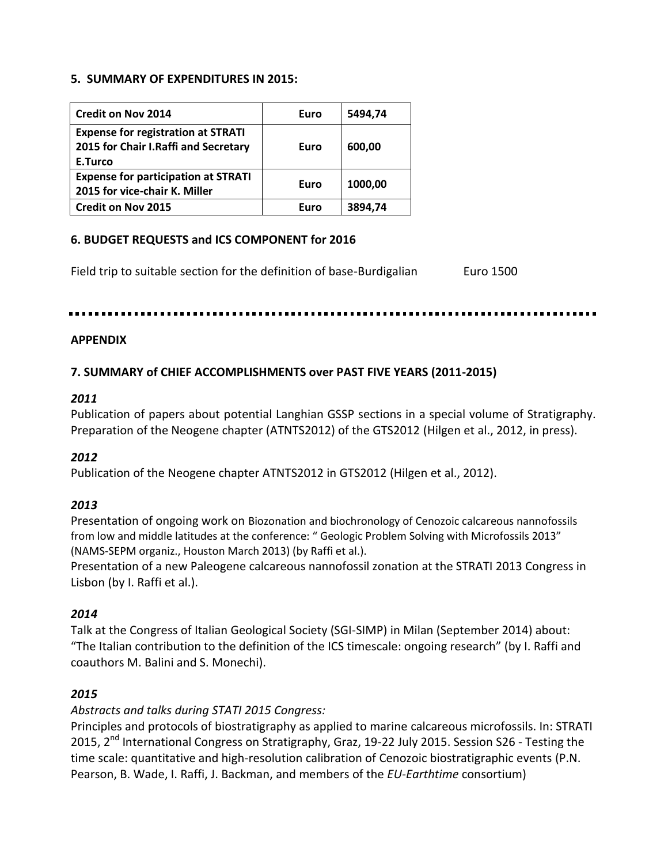#### **5. SUMMARY OF EXPENDITURES IN 2015:**

| <b>Credit on Nov 2014</b>                                                                    | Euro | 5494,74 |
|----------------------------------------------------------------------------------------------|------|---------|
| <b>Expense for registration at STRATI</b><br>2015 for Chair I.Raffi and Secretary<br>E.Turco | Euro | 600.00  |
| <b>Expense for participation at STRATI</b><br>2015 for vice-chair K. Miller                  | Euro | 1000.00 |
| <b>Credit on Nov 2015</b>                                                                    | Euro | 3894.74 |

# **6. BUDGET REQUESTS and ICS COMPONENT for 2016**

Field trip to suitable section for the definition of base-Burdigalian Euro 1500

#### **APPENDIX**

# **7. SUMMARY of CHIEF ACCOMPLISHMENTS over PAST FIVE YEARS (2011-2015)**

#### *2011*

Publication of papers about potential Langhian GSSP sections in a special volume of Stratigraphy. Preparation of the Neogene chapter (ATNTS2012) of the GTS2012 (Hilgen et al., 2012, in press).

### *2012*

Publication of the Neogene chapter ATNTS2012 in GTS2012 (Hilgen et al., 2012).

### *2013*

Presentation of ongoing work on Biozonation and biochronology of Cenozoic calcareous nannofossils from low and middle latitudes at the conference: " Geologic Problem Solving with Microfossils 2013" (NAMS-SEPM organiz., Houston March 2013) (by Raffi et al.).

Presentation of a new Paleogene calcareous nannofossil zonation at the STRATI 2013 Congress in Lisbon (by I. Raffi et al.).

### *2014*

Talk at the Congress of Italian Geological Society (SGI-SIMP) in Milan (September 2014) about: "The Italian contribution to the definition of the ICS timescale: ongoing research" (by I. Raffi and coauthors M. Balini and S. Monechi).

### *2015*

*Abstracts and talks during STATI 2015 Congress:*

Principles and protocols of biostratigraphy as applied to marine calcareous microfossils. In: STRATI 2015, 2<sup>nd</sup> International Congress on Stratigraphy, Graz, 19-22 July 2015. Session S26 - Testing the [time scale: quantitative and high-resolution calibration of Cenozoic biostratigraphic events](http://strati2015.uni-graz.at/sessions/S_26) (P.N. Pearson, B. Wade, I. Raffi, J. Backman, and members of the *EU-Earthtime* consortium)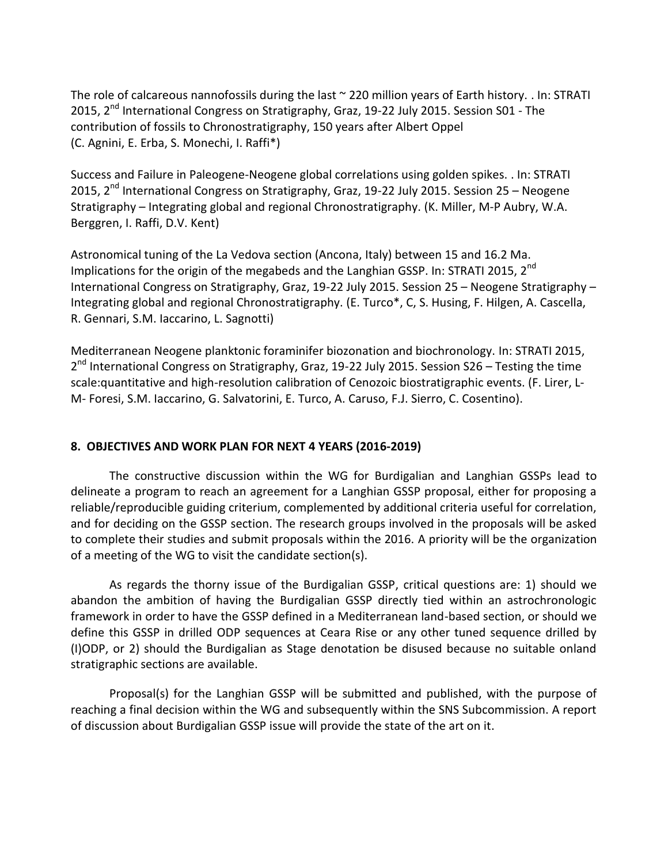The role of calcareous nannofossils during the last ~ 220 million years of Earth history. . In: STRATI 2015, 2<sup>nd</sup> International Congress on Stratigraphy, Graz, 19-22 July 2015. Session S01 - The contribution of fossils to Chronostratigraphy, 150 years after Albert Oppel (C. Agnini, E. Erba, S. Monechi, I. Raffi\*)

Success and Failure in Paleogene-Neogene global correlations using golden spikes. . In: STRATI 2015, 2<sup>nd</sup> International Congress on Stratigraphy, Graz, 19-22 July 2015. Session 25 - Neogene Stratigraphy – Integrating global and regional Chronostratigraphy. (K. Miller, M-P Aubry, W.A. Berggren, I. Raffi, D.V. Kent)

Astronomical tuning of the La Vedova section (Ancona, Italy) between 15 and 16.2 Ma. Implications for the origin of the megabeds and the Langhian GSSP. In: STRATI 2015, 2<sup>nd</sup> International Congress on Stratigraphy, Graz, 19-22 July 2015. Session 25 – Neogene Stratigraphy – Integrating global and regional Chronostratigraphy. (E. Turco\*, C, S. Husing, F. Hilgen, A. Cascella, R. Gennari, S.M. Iaccarino, L. Sagnotti)

Mediterranean Neogene planktonic foraminifer biozonation and biochronology. In: STRATI 2015, 2<sup>nd</sup> International Congress on Stratigraphy, Graz, 19-22 July 2015. Session S26 - Testing the time scale:quantitative and high-resolution calibration of Cenozoic biostratigraphic events. (F. Lirer, L-M- Foresi, S.M. Iaccarino, G. Salvatorini, E. Turco, A. Caruso, F.J. Sierro, C. Cosentino).

# **8. OBJECTIVES AND WORK PLAN FOR NEXT 4 YEARS (2016-2019)**

The constructive discussion within the WG for Burdigalian and Langhian GSSPs lead to delineate a program to reach an agreement for a Langhian GSSP proposal, either for proposing a reliable/reproducible guiding criterium, complemented by additional criteria useful for correlation, and for deciding on the GSSP section. The research groups involved in the proposals will be asked to complete their studies and submit proposals within the 2016. A priority will be the organization of a meeting of the WG to visit the candidate section(s).

As regards the thorny issue of the Burdigalian GSSP, critical questions are: 1) should we abandon the ambition of having the Burdigalian GSSP directly tied within an astrochronologic framework in order to have the GSSP defined in a Mediterranean land-based section, or should we define this GSSP in drilled ODP sequences at Ceara Rise or any other tuned sequence drilled by (I)ODP, or 2) should the Burdigalian as Stage denotation be disused because no suitable onland stratigraphic sections are available.

Proposal(s) for the Langhian GSSP will be submitted and published, with the purpose of reaching a final decision within the WG and subsequently within the SNS Subcommission. A report of discussion about Burdigalian GSSP issue will provide the state of the art on it.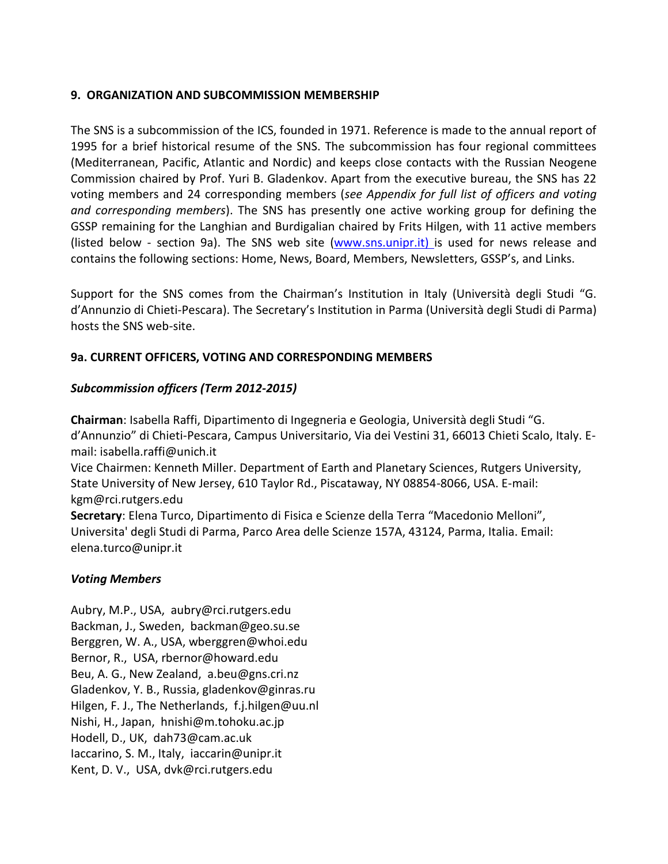# **9. ORGANIZATION AND SUBCOMMISSION MEMBERSHIP**

The SNS is a subcommission of the ICS, founded in 1971. Reference is made to the annual report of 1995 for a brief historical resume of the SNS. The subcommission has four regional committees (Mediterranean, Pacific, Atlantic and Nordic) and keeps close contacts with the Russian Neogene Commission chaired by Prof. Yuri B. Gladenkov. Apart from the executive bureau, the SNS has 22 voting members and 24 corresponding members (*see Appendix for full list of officers and voting and corresponding members*). The SNS has presently one active working group for defining the GSSP remaining for the Langhian and Burdigalian chaired by Frits Hilgen, with 11 active members (listed below - section 9a). The SNS web site [\(www.sns.unipr.it\)](http://www.sns.unipr.it/) is used for news release and contains the following sections: Home, News, Board, Members, Newsletters, GSSP's, and Links.

Support for the SNS comes from the Chairman's Institution in Italy (Università degli Studi "G. d'Annunzio di Chieti-Pescara). The Secretary's Institution in Parma (Università degli Studi di Parma) hosts the SNS web-site.

# **9a. CURRENT OFFICERS, VOTING AND CORRESPONDING MEMBERS**

# *Subcommission officers (Term 2012-2015)*

**Chairman**: Isabella Raffi, [Dipartimento di Ingegneria e Geologia](http://www.unich.it/unichieti/portletlocator/ContattoOrganizzazione_details?path=/BEA%20Repository/132035), Università degli Studi "G. d'Annunzio" di Chieti-Pescara, Campus Universitario, Via dei Vestini 31, 66013 Chieti Scalo, Italy. Email: isabella[.raffi@unich.it](mailto:raffi@unich.it)

Vice Chairmen: Kenneth Miller. [Department of Earth and Planetary Sciences,](http://geology.rutgers.edu/) Rutgers University, State University of New Jersey, 610 Taylor Rd., Piscataway, NY 08854-8066, USA. E-mail: kgm@rci.rutgers.edu

**Secretary**: Elena Turco, Dipartimento di Fisica e Scienze della Terra "Macedonio Melloni", Universita' degli Studi di Parma, Parco Area delle Scienze 157A, 43124, Parma, Italia. Email: elena.turco@unipr.it

### *Voting Members*

Aubry, M.P., USA, [aubry@rci.rutgers.edu](mailto:aubry@rci.rutgers.edu) Backman, J., Sweden, [backman@geo.su.se](mailto:backman@geo.su.se) Berggren, W. A., USA, [wberggren@whoi.edu](mailto:wberggren@whoi.edu) Bernor, R., USA, [rbernor@howard.edu](mailto:rbernor@howard.edu) Beu, A. G., New Zealand, [a.beu@gns.cri.nz](mailto:a.beu@gns.cri.nz) Gladenkov, Y. B., Russia, [gladenkov@ginras.ru](mailto:gladenkov@ginras.ru) Hilgen, F. J., The Netherlands, [f.j.hilgen@uu.nl](mailto:f.j.hilgen@uu.nl) Nishi, H., Japan, [hnishi@m.tohoku.ac.jp](mailto:hnishi@m.tohoku.ac.jp) Hodell, D., UK, [dah73@cam.ac.uk](mailto:dah73@cam.ac.uk) Iaccarino, S. M., Italy, [iaccarin@unipr.it](mailto:iaccarin@unipr.it) Kent, D. V., USA, [dvk@rci.rutgers.edu](mailto:dvk@rci.rutgers.edu)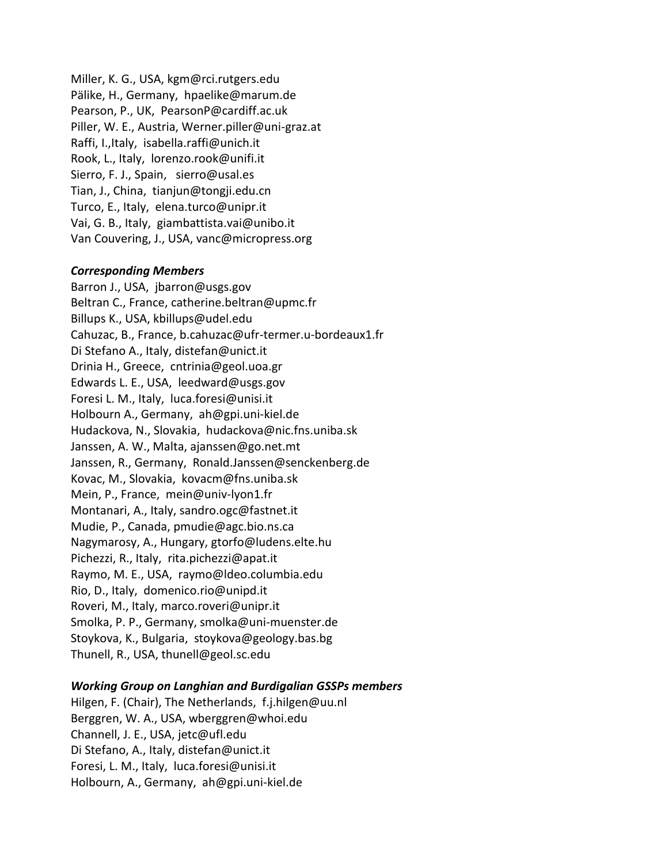Miller, K. G., USA, [kgm@rci.rutgers.edu](mailto:kgm@rci.rutgers.edu) Pälike, H., Germany, [hpaelike@marum.de](mailto:hpaelike@marum.de) Pearson, P., UK, [PearsonP@cardiff.ac.uk](mailto:PearsonP@cardiff.ac.uk) Piller, W. E., Austria, [Werner.piller@uni-graz.at](mailto:Werner.piller@uni-graz.at) Raffi, I.,Italy, isabella[.raffi@unich.it](mailto:raffi@unich.it) Rook, L., Italy, [lorenzo.rook@unifi.it](mailto:lorenzo.rook@unifi.it) Sierro, F. J., Spain, [sierro@usal.es](mailto:sierro@usal.es) Tian, J., China, [tianjun@tongji.edu.cn](mailto:tianjun@tongji.edu.cn) Turco, E., Italy, [elena.turco@unipr.it](mailto:elena.turco@unipr.it) Vai, G. B., Italy, [giambattista.vai@unibo.it](mailto:giambattista.vai@unibo.it) Van Couvering, J., USA, [vanc@micropress.org](mailto:vanc@micropress.org)

#### *Corresponding Members*

Barron J., USA, [jbarron@usgs.gov](mailto:jbarron@usgs.gov) Beltran C., France[, catherine.beltran@upmc.fr](mailto:catherine.beltran@upmc.fr) Billups K., USA, [kbillups@udel.edu](mailto:kbillups@udel.edu) Cahuzac, B., France, [b.cahuzac@ufr-termer.u-bordeaux1.fr](mailto:b.cahuzac@ufr-termer.u-bordeaux1.fr) Di Stefano A., Italy, [distefan@unict.it](mailto:distefan@unict.it) Drinia H., Greece, [cntrinia@geol.uoa.gr](mailto:cntrinia@geol.uoa.gr) Edwards L. E., USA, [leedward@usgs.gov](mailto:leedward@usgs.gov) Foresi L. M., Italy, [luca.foresi@unisi.it](mailto:luca.foresi@unisi.it) Holbourn A., Germany, [ah@gpi.uni-kiel.de](mailto:ah@gpi.uni-kiel.de)  Hudackova, N., Slovakia, [hudackova@nic.fns.uniba.sk](mailto:hudackova@nic.fns.uniba.sk) Janssen, A. W., Malta, [ajanssen@go.net.mt](mailto:ajanssen@go.net.mt) Janssen, R., Germany, [Ronald.Janssen@senckenberg.de](mailto:Ronald.Janssen@senckenberg.de) Kovac, M., Slovakia, [kovacm@fns.uniba.sk](mailto:kovacm@fns.uniba.sk) Mein, P., France, [mein@univ-lyon1.fr](mailto:mein@univ-lyon1.fr) Montanari, A., Italy, [sandro.ogc@fastnet.it](mailto:sandro.ogc@fastnet.it) Mudie, P., Canada, [pmudie@agc.bio.ns.ca](mailto:pmudie@agc.bio.ns.ca) Nagymarosy, A., Hungary, [gtorfo@ludens.elte.hu](mailto:gtorfo@ludens.elte.hu) Pichezzi, R., Italy, rita.pichezzi@apat.it Raymo, M. E., USA, [raymo@ldeo.columbia.edu](mailto:raymo@ldeo.columbia.edu) Rio, D., Italy, [domenico.rio@unipd.it](mailto:domenico.rio@unipd.it) Roveri, M., Italy, [marco.roveri@unipr.it](mailto:marco.roveri@unipr.it) Smolka, P. P., Germany, [smolka@uni-muenster.de](mailto:smolka@uni-muenster.de) Stoykova, K., Bulgaria, [stoykova@geology.bas.bg](mailto:stoykova@geology.bas.bg) Thunell, R., USA, [thunell@geol.sc.edu](mailto:thunell@geol.sc.edu)

#### *Working Group on Langhian and Burdigalian GSSPs members*

Hilgen, F. (Chair), The Netherlands, [f.j.hilgen@uu.nl](mailto:f.j.hilgen@uu.nl) Berggren, W. A., USA, [wberggren@whoi.edu](mailto:wberggren@whoi.edu) Channell, J. E., USA, [jetc@ufl.edu](mailto:jetc@ufl.edu) Di Stefano, A., Italy, [distefan@unict.it](mailto:distefan@unict.it) Foresi, L. M., Italy, [luca.foresi@unisi.it](mailto:luca.foresi@unisi.it) Holbourn, A., Germany, [ah@gpi.uni-kiel.de](mailto:ah@gpi.uni-kiel.de)